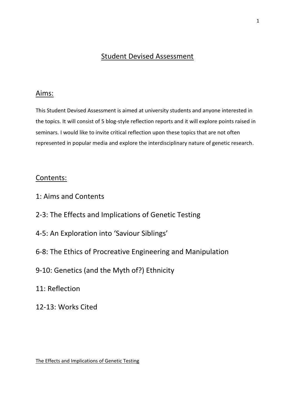# Student Devised Assessment

## Aims:

This Student Devised Assessment is aimed at university students and anyone interested in the topics. It will consist of 5 blog-style reflection reports and it will explore points raised in seminars. I would like to invite critical reflection upon these topics that are not often represented in popular media and explore the interdisciplinary nature of genetic research.

## Contents:

- 1: Aims and Contents
- 2-3: The Effects and Implications of Genetic Testing
- 4-5: An Exploration into 'Saviour Siblings'
- 6-8: The Ethics of Procreative Engineering and Manipulation
- 9-10: Genetics (and the Myth of?) Ethnicity
- 11: Reflection
- 12-13: Works Cited

The Effects and Implications of Genetic Testing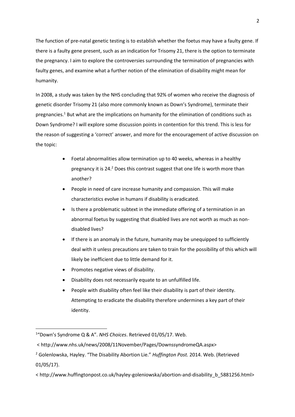The function of pre-natal genetic testing is to establish whether the foetus may have a faulty gene. If there is a faulty gene present, such as an indication for Trisomy 21, there is the option to terminate the pregnancy. I aim to explore the controversies surrounding the termination of pregnancies with faulty genes, and examine what a further notion of the elimination of disability might mean for humanity.

In 2008, a study was taken by the NHS concluding that 92% of women who receive the diagnosis of genetic disorder Trisomy 21 (also more commonly known as Down's Syndrome), terminate their pregnancies.<sup>1</sup> But what are the implications on humanity for the elimination of conditions such as Down Syndrome? I will explore some discussion points in contention for this trend. This is less for the reason of suggesting a 'correct' answer, and more for the encouragement of active discussion on the topic:

- Foetal abnormalities allow termination up to 40 weeks, whereas in a healthy pregnancy it is 24.<sup>2</sup> Does this contrast suggest that one life is worth more than another?
- People in need of care increase humanity and compassion. This will make characteristics evolve in humans if disability is eradicated.
- Is there a problematic subtext in the immediate offering of a termination in an abnormal foetus by suggesting that disabled lives are not worth as much as nondisabled lives?
- If there is an anomaly in the future, humanity may be unequipped to sufficiently deal with it unless precautions are taken to train for the possibility of this which will likely be inefficient due to little demand for it.
- Promotes negative views of disability.
- Disability does not necessarily equate to an unfulfilled life.
- People with disability often feel like their disability is part of their identity. Attempting to eradicate the disability therefore undermines a key part of their identity.

<sup>1</sup> "Down's Syndrome Q & A". *NHS Choices*. Retrieved 01/05/17. Web.

<sup>&</sup>lt; http://www.nhs.uk/news/2008/11November/Pages/DownssyndromeQA.aspx>

<sup>2</sup> Golenlowska, Hayley. "The Disability Abortion Lie." *Huffington Post.* 2014. Web. (Retrieved 01/05/17).

<sup>&</sup>lt; http://www.huffingtonpost.co.uk/hayley-goleniowska/abortion-and-disability\_b\_5881256.html>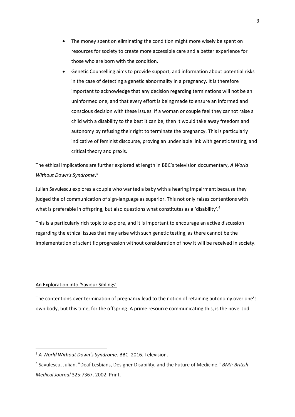- The money spent on eliminating the condition might more wisely be spent on resources for society to create more accessible care and a better experience for those who are born with the condition.
- Genetic Counselling aims to provide support, and information about potential risks in the case of detecting a genetic abnormality in a pregnancy. It is therefore important to acknowledge that any decision regarding terminations will not be an uninformed one, and that every effort is being made to ensure an informed and conscious decision with these issues. If a woman or couple feel they cannot raise a child with a disability to the best it can be, then it would take away freedom and autonomy by refusing their right to terminate the pregnancy. This is particularly indicative of feminist discourse, proving an undeniable link with genetic testing, and critical theory and praxis.

The ethical implications are further explored at length in BBC's television documentary, *A World Without Down's Syndrome*. 3

Julian Savulescu explores a couple who wanted a baby with a hearing impairment because they judged the of communication of sign-language as superior. This not only raises contentions with what is preferable in offspring, but also questions what constitutes as a 'disability'.<sup>4</sup>

This is a particularly rich topic to explore, and it is important to encourage an active discussion regarding the ethical issues that may arise with such genetic testing, as there cannot be the implementation of scientific progression without consideration of how it will be received in society.

### An Exploration into 'Saviour Siblings'

**.** 

The contentions over termination of pregnancy lead to the notion of retaining autonomy over one's own body, but this time, for the offspring. A prime resource communicating this, is the novel Jodi

<sup>3</sup> *A World Without Down's Syndrome*. BBC. 2016. Television.

<sup>4</sup> Savulescu, Julian. "Deaf Lesbians, Designer Disability, and the Future of Medicine." *BMJ: British Medical Journal* 325:7367. 2002. Print.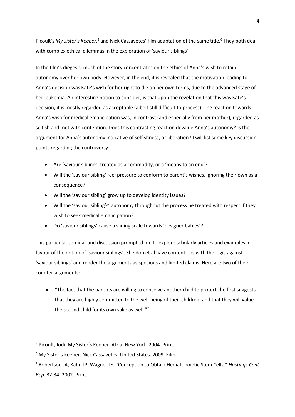Picoult's My Sister's Keeper,<sup>5</sup> and Nick Cassavetes' film adaptation of the same title.<sup>6</sup> They both deal with complex ethical dilemmas in the exploration of 'saviour siblings'.

In the film's diegesis, much of the story concentrates on the ethics of Anna's wish to retain autonomy over her own body. However, in the end, it is revealed that the motivation leading to Anna's decision was Kate's wish for her right to die on her own terms, due to the advanced stage of her leukemia. An interesting notion to consider, is that upon the revelation that this was Kate's decision, it is mostly regarded as acceptable (albeit still difficult to process). The reaction towards Anna's wish for medical emancipation was, in contrast (and especially from her mother), regarded as selfish and met with contention. Does this contrasting reaction devalue Anna's autonomy? Is the argument for Anna's autonomy indicative of selfishness, or liberation? I will list some key discussion points regarding the controversy:

- Are 'saviour siblings' treated as a commodity, or a 'means to an end'?
- Will the 'saviour sibling' feel pressure to conform to parent's wishes, ignoring their own as a consequence?
- Will the 'saviour sibling' grow up to develop identity issues?
- Will the 'saviour sibling's' autonomy throughout the process be treated with respect if they wish to seek medical emancipation?
- Do 'saviour siblings' cause a sliding scale towards 'designer babies'?

This particular seminar and discussion prompted me to explore scholarly articles and examples in favour of the notion of 'saviour siblings'. Sheldon et al have contentions with the logic against 'saviour siblings' and render the arguments as specious and limited claims. Here are two of their counter-arguments:

 "The fact that the parents are willing to conceive another child to protect the first suggests that they are highly committed to the well-being of their children, and that they will value the second child for its own sake as well."<sup>7</sup>

<sup>5</sup> Picoult, Jodi. My Sister's Keeper. Atria. New York. 2004. Print.

<sup>6</sup> My Sister's Keeper. Nick Cassavetes. United States. 2009. Film.

<sup>7</sup> Robertson JA, Kahn JP, Wagner JE. "Conception to Obtain Hematopoietic Stem Cells." *Hastinqs Cent Rep.* 32:34. 2002. Print.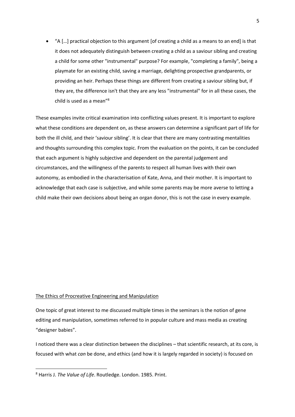"A […] practical objection to this argument [of creating a child as a means to an end] is that it does not adequately distinguish between creating a child as a saviour sibling and creating a child for some other "instrumental" purpose? For example, "completing a family", being a playmate for an existing child, saving a marriage, delighting prospective grandparents, or providing an heir. Perhaps these things are different from creating a saviour sibling but, if they are, the difference isn't that they are any less "instrumental" for in all these cases, the child is used as a mean"<sup>8</sup>

These examples invite critical examination into conflicting values present. It is important to explore what these conditions are dependent on, as these answers can determine a significant part of life for both the ill child, and their 'saviour sibling'. It is clear that there are many contrasting mentalities and thoughts surrounding this complex topic. From the evaluation on the points, it can be concluded that each argument is highly subjective and dependent on the parental judgement and circumstances, and the willingness of the parents to respect all human lives with their own autonomy, as embodied in the characterisation of Kate, Anna, and their mother. It is important to acknowledge that each case is subjective, and while some parents may be more averse to letting a child make their own decisions about being an organ donor, this is not the case in every example.

#### The Ethics of Procreative Engineering and Manipulation

One topic of great interest to me discussed multiple times in the seminars is the notion of gene editing and manipulation, sometimes referred to in popular culture and mass media as creating "designer babies".

I noticed there was a clear distinction between the disciplines – that scientific research, at its core, is focused with what *can* be done, and ethics (and how it is largely regarded in society) is focused on

<sup>8</sup> Harris J. *The Value of Life*. Routledge. London. 1985. Print.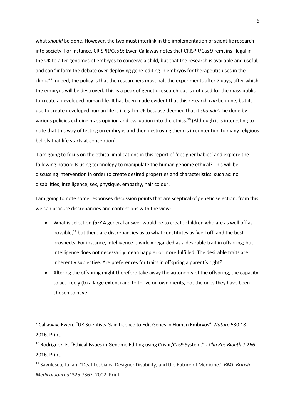what *should* be done. However, the two must interlink in the implementation of scientific research into society. For instance, CRISPR/Cas 9: Ewen Callaway notes that CRISPR/Cas 9 remains illegal in the UK to alter genomes of embryos to conceive a child, but that the research is available and useful, and can "inform the debate over deploying gene-editing in embryos for therapeutic uses in the clinic."<sup>9</sup> Indeed, the policy is that the researchers must halt the experiments after 7 days, after which the embryos will be destroyed. This is a peak of genetic research but is not used for the mass public to create a developed human life. It has been made evident that this research *can* be done, but its use to create developed human life is illegal in UK because deemed that it *shouldn't* be done by various policies echoing mass opinion and evaluation into the ethics.<sup>10</sup> (Although it is interesting to note that this way of testing on embryos and then destroying them is in contention to many religious beliefs that life starts at conception).

I am going to focus on the ethical implications in this report of 'designer babies' and explore the following notion: Is using technology to manipulate the human genome ethical? This will be discussing intervention in order to create desired properties and characteristics, such as: no disabilities, intelligence, sex, physique, empathy, hair colour.

I am going to note some responses discussion points that are sceptical of genetic selection; from this we can procure discrepancies and contentions with the view:

- What is selection *for?* A general answer would be to create children who are as well off as possible, <sup>11</sup> but there are discrepancies as to what constitutes as 'well off' and the best prospects. For instance, intelligence is widely regarded as a desirable trait in offspring; but intelligence does not necessarily mean happier or more fulfilled. The desirable traits are inherently subjective. Are preferences for traits in offspring a parent's right?
- Altering the offspring might therefore take away the autonomy of the offspring, the capacity to act freely (to a large extent) and to thrive on own merits, not the ones they have been chosen to have.

<sup>9</sup> Callaway, Ewen. "UK Scientists Gain Licence to Edit Genes in Human Embryos". *Nature* 530:18. 2016. Print.

<sup>10</sup> Rodriguez, E. "Ethical Issues in Genome Editing using Crispr/Cas9 System." *J Clin Res Bioeth* 7:266. 2016. Print.

<sup>11</sup> Savulescu, Julian. "Deaf Lesbians, Designer Disability, and the Future of Medicine." *BMJ: British Medical Journal* 325:7367. 2002. Print.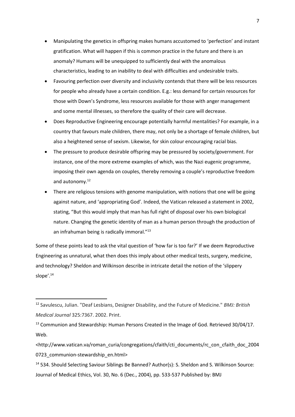- Manipulating the genetics in offspring makes humans accustomed to 'perfection' and instant gratification. What will happen if this is common practice in the future and there is an anomaly? Humans will be unequipped to sufficiently deal with the anomalous characteristics, leading to an inability to deal with difficulties and undesirable traits.
- Favouring perfection over diversity and inclusivity contends that there will be less resources for people who already have a certain condition. E.g.: less demand for certain resources for those with Down's Syndrome, less resources available for those with anger management and some mental illnesses, so therefore the quality of their care will decrease.
- Does Reproductive Engineering encourage potentially harmful mentalities? For example, in a country that favours male children, there may, not only be a shortage of female children, but also a heightened sense of sexism. Likewise, for skin colour encouraging racial bias.
- The pressure to produce desirable offspring may be pressured by society/government. For instance, one of the more extreme examples of which, was the Nazi eugenic programme, imposing their own agenda on couples, thereby removing a couple's reproductive freedom and autonomy.<sup>12</sup>
- There are religious tensions with genome manipulation, with notions that one will be going against nature, and 'appropriating God'. Indeed, the Vatican released a statement in 2002, stating, "But this would imply that man has full right of disposal over his own biological nature. Changing the genetic identity of man as a human person through the production of an infrahuman being is radically immoral."<sup>13</sup>

Some of these points lead to ask the vital question of 'how far is too far?' If we deem Reproductive Engineering as unnatural, what then does this imply about other medical tests, surgery, medicine, and technology? Sheldon and Wilkinson describe in intricate detail the notion of the 'slippery slope'.<sup>14</sup>

 $\overline{\phantom{a}}$ 

<sup>14</sup> 534. Should Selecting Saviour Siblings Be Banned? Author(s): S. Sheldon and S. Wilkinson Source: Journal of Medical Ethics, Vol. 30, No. 6 (Dec., 2004), pp. 533-537 Published by: BMJ

<sup>12</sup> Savulescu, Julian. "Deaf Lesbians, Designer Disability, and the Future of Medicine." *BMJ: British Medical Journal* 325:7367. 2002. Print.

<sup>&</sup>lt;sup>13</sup> Communion and Stewardship: Human Persons Created in the Image of God. Retrieved 30/04/17. Web.

<sup>&</sup>lt;http://www.vatican.va/roman\_curia/congregations/cfaith/cti\_documents/rc\_con\_cfaith\_doc\_2004 0723 communion-stewardship en.html>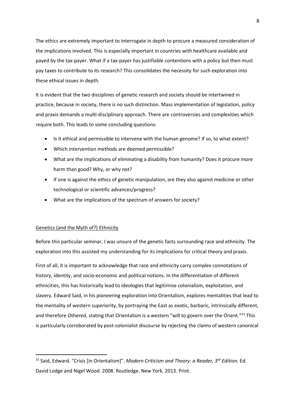The ethics are extremely important to interrogate in depth to procure a measured consideration of the implications involved. This is especially important in countries with healthcare available and payed by the tax-payer. What if a tax-payer has justifiable contentions with a policy but then must pay taxes to contribute to its research? This consolidates the necessity for such exploration into these ethical issues in depth.

It is evident that the two disciplines of genetic research and society should be intertwined in practice, because in society, there is no such distinction. Mass implementation of legislation, policy and praxis demands a multi-disciplinary approach. There are controversies and complexities which require both. This leads to some concluding questions:

- Is it ethical and permissible to intervene with the human genome? If so, to what extent?
- Which intervention methods are deemed permissible?
- What are the implications of eliminating a disability from humanity? Does it procure more harm than good? Why, or why not?
- If one is against the ethics of genetic manipulation, are they also against medicine or other technological or scientific advances/progress?
- What are the implications of the spectrum of answers for society?

### Genetics (and the Myth of?) Ethnicity

**.** 

Before this particular seminar, I was unsure of the genetic facts surrounding race and ethnicity. The exploration into this assisted my understanding for its implications for critical theory and praxis.

First of all, it is important to acknowledge that race and ethnicity carry complex connotations of history, identity, and socio-economic and political notions. In the differentiation of different ethnicities, this has historically lead to ideologies that legitimise colonialism, exploitation, and slavery. Edward Said, in his pioneering exploration into Orientalism, explores mentalities that lead to the mentality of western superiority, by portraying the East as exotic, barbaric, intrinsically different, and therefore Othered, stating that Orientalism is a western "will to govern over the Orient."<sup>15</sup> This is particularly corroborated by post-colonialist discourse by rejecting the claims of western canonical

<sup>15</sup> Said, Edward. "Crisis [in Orientalism]". *Modern Criticism and Theory: a Reader, 3rd Edition.* Ed. David Lodge and Nigel Wood. 2008. Routledge. New York. 2013. Print.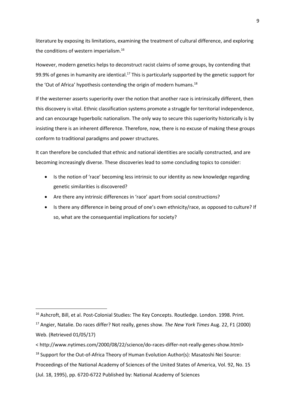literature by exposing its limitations, examining the treatment of cultural difference, and exploring the conditions of western imperialism.<sup>16</sup>

However, modern genetics helps to deconstruct racist claims of some groups, by contending that 99.9% of genes in humanity are identical.<sup>17</sup> This is particularly supported by the genetic support for the 'Out of Africa' hypothesis contending the origin of modern humans.<sup>18</sup>

If the westerner asserts superiority over the notion that another race is intrinsically different, then this discovery is vital. Ethnic classification systems promote a struggle for territorial independence, and can encourage hyperbolic nationalism. The only way to secure this superiority historically is by insisting there is an inherent difference. Therefore, now, there is no excuse of making these groups conform to traditional paradigms and power structures.

It can therefore be concluded that ethnic and national identities are socially constructed, and are becoming increasingly diverse. These discoveries lead to some concluding topics to consider:

- Is the notion of 'race' becoming less intrinsic to our identity as new knowledge regarding genetic similarities is discovered?
- Are there any intrinsic differences in 'race' apart from social constructions?
- Is there any difference in being proud of one's own ethnicity/race, as opposed to culture? If so, what are the consequential implications for society?

(Jul. 18, 1995), pp. 6720-6722 Published by: National Academy of Sciences

1

<sup>&</sup>lt;sup>16</sup> Ashcroft, Bill, et al. Post-Colonial Studies: The Key Concepts. Routledge. London. 1998. Print.

<sup>17</sup> Angier, Natalie. Do races differ? Not really, genes show. *The New York Times* Aug. 22, F1 (2000) Web. (Retrieved 01/05/17)

<sup>&</sup>lt; http://www.nytimes.com/2000/08/22/science/do-races-differ-not-really-genes-show.html>

 $18$  Support for the Out-of-Africa Theory of Human Evolution Author(s): Masatoshi Nei Source:

Proceedings of the National Academy of Sciences of the United States of America, Vol. 92, No. 15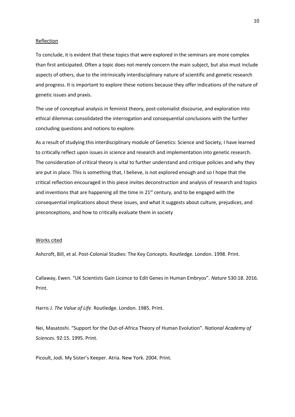#### Reflection

To conclude, it is evident that these topics that were explored in the seminars are more complex than first anticipated. Often a topic does not merely concern the main subject, but also must include aspects of others, due to the intrinsically interdisciplinary nature of scientific and genetic research and progress. It is important to explore these notions because they offer indications of the nature of genetic issues and praxis.

The use of conceptual analysis in feminist theory, post-colonialist discourse, and exploration into ethical dilemmas consolidated the interrogation and consequential conclusions with the further concluding questions and notions to explore.

As a result of studying this interdisciplinary module of Genetics: Science and Society, I have learned to critically reflect upon issues in science and research and implementation into genetic research. The consideration of critical theory is vital to further understand and critique policies and why they are put in place. This is something that, I believe, is not explored enough and so I hope that the critical reflection encouraged in this piece invites deconstruction and analysis of research and topics and inventions that are happening all the time in  $21<sup>st</sup>$  century, and to be engaged with the consequential implications about these issues, and what it suggests about culture, prejudices, and preconceptions, and how to critically evaluate them in society

#### Works cited

Ashcroft, Bill, et al. Post-Colonial Studies: The Key Concepts. Routledge. London. 1998. Print.

Callaway, Ewen. "UK Scientists Gain Licence to Edit Genes in Human Embryos". *Nature* 530:18. 2016. Print.

Harris J. *The Value of Life*. Routledge. London. 1985. Print.

Nei, Masatoshi. "Support for the Out-of-Africa Theory of Human Evolution". *National Academy of Sciences*. 92:15. 1995. Print.

Picoult, Jodi. My Sister's Keeper. Atria. New York. 2004. Print.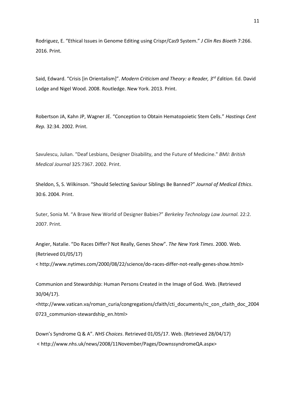Rodriguez, E. "Ethical Issues in Genome Editing using Crispr/Cas9 System." *J Clin Res Bioeth* 7:266. 2016. Print.

Said, Edward. "Crisis [in Orientalism]". *Modern Criticism and Theory: a Reader, 3rd Edition.* Ed. David Lodge and Nigel Wood. 2008. Routledge. New York. 2013. Print.

Robertson JA, Kahn JP, Wagner JE. "Conception to Obtain Hematopoietic Stem Cells." *Hastinqs Cent Rep.* 32:34. 2002. Print.

Savulescu, Julian. "Deaf Lesbians, Designer Disability, and the Future of Medicine." *BMJ: British Medical Journal* 325:7367. 2002. Print.

Sheldon, S, S. Wilkinson. "Should Selecting Saviour Siblings Be Banned?" *Journal of Medical Ethics*. 30:6. 2004. Print.

Suter, Sonia M. "A Brave New World of Designer Babies?" *Berkeley Technology Law Journal.* 22:2. 2007. Print.

Angier, Natalie. "Do Races Differ? Not Really, Genes Show". *The New York Times*. 2000. Web. (Retrieved 01/05/17)

< http://www.nytimes.com/2000/08/22/science/do-races-differ-not-really-genes-show.html>

Communion and Stewardship: Human Persons Created in the Image of God. Web. (Retrieved 30/04/17).

<http://www.vatican.va/roman\_curia/congregations/cfaith/cti\_documents/rc\_con\_cfaith\_doc\_2004 0723\_communion-stewardship\_en.html>

Down's Syndrome Q & A". *NHS Choices*. Retrieved 01/05/17. Web. (Retrieved 28/04/17) < http://www.nhs.uk/news/2008/11November/Pages/DownssyndromeQA.aspx>